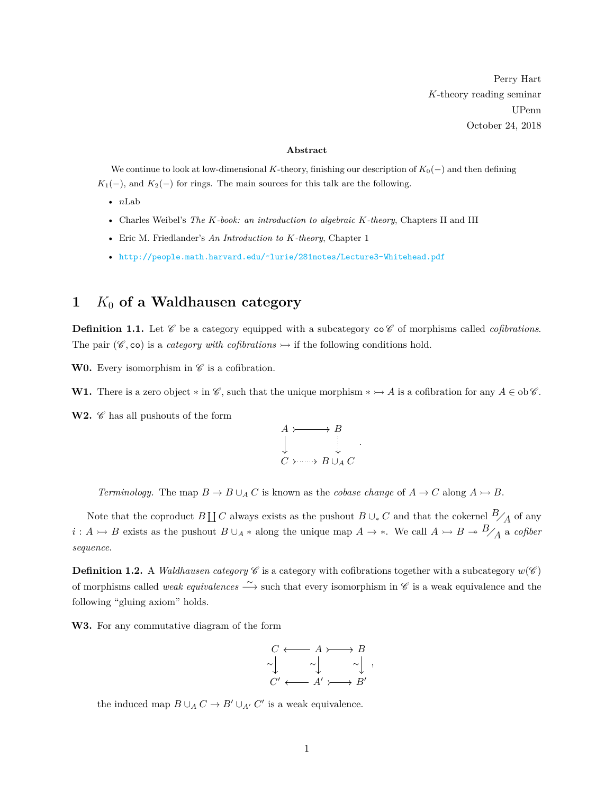Perry Hart *K*-theory reading seminar UPenn October 24, 2018

#### **Abstract**

We continue to look at low-dimensional *K*-theory, finishing our description of  $K_0(-)$  and then defining  $K_1(-)$ , and  $K_2(-)$  for rings. The main sources for this talk are the following.

- *n*Lab
- Charles Weibel's *The K-book: an introduction to algebraic K-theory*, Chapters II and III
- Eric M. Friedlander's *An Introduction to K-theory*, Chapter 1
- [http://people.math.harvard.edu/˜lurie/281notes/Lecture3-Whitehead.pdf](http://people.math.harvard.edu/~lurie/281notes/Lecture3-Whitehead.pdf)

## **1** *K*<sup>0</sup> **of a Waldhausen category**

**Definition 1.1.** Let  $\mathscr C$  be a category equipped with a subcategory  $\cos \mathscr C$  of morphisms called *cofibrations*. The pair ( $\mathscr{C}, \infty$ ) is a *category with cofibrations*  $\rightarrow$  if the following conditions hold.

**W0.** Every isomorphism in  $\mathscr{C}$  is a cofibration.

**W1.** There is a zero object  $*$  in  $\mathscr{C}$ , such that the unique morphism  $* \rightarrow A$  is a cofibration for any  $A \in ob \mathscr{C}$ .

**W2.**  $\mathscr{C}$  has all pushouts of the form



*.*

*Terminology.* The map  $B \to B \cup_A C$  is known as the *cobase change* of  $A \to C$  along  $A \to B$ .

Note that the coproduct  $B \coprod C$  always exists as the pushout  $B \cup_{*} C$  and that the cokernel  $B/_{\overline{A}}$  of any *i* : *A*  $\rightarrow$  *B* exists as the pushout *B* ∪<sub>*A*</sub> ∗ along the unique map *A*  $\rightarrow$  ∗. We call *A*  $\rightarrow$  *B*  $\rightarrow$  *B* $\rightarrow$  *B*<sub>/</sub>*A*<sub>*A*</sub> a *cofiber sequence*.

**Definition 1.2.** A *Waldhausen category*  $\mathscr C$  is a category with cofibrations together with a subcategory  $w(\mathscr C)$ of morphisms called *weak equivalences* <sup>∼</sup>−→ such that every isomorphism in C is a weak equivalence and the following "gluing axiom" holds.

**W3.** For any commutative diagram of the form



the induced map  $B \cup_A C \to B' \cup_{A'} C'$  is a weak equivalence.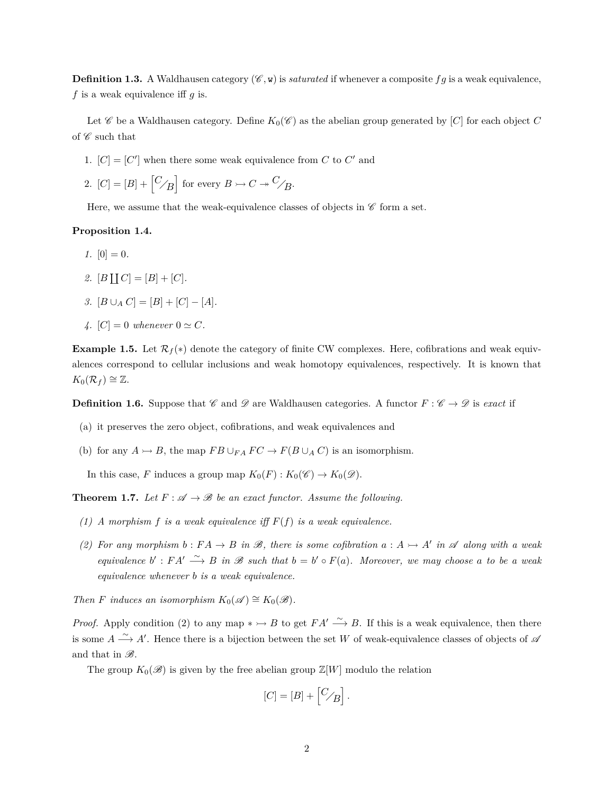**Definition 1.3.** A Waldhausen category  $(\mathscr{C}, \mathbf{w})$  is *saturated* if whenever a composite fg is a weak equivalence. *f* is a weak equivalence iff *g* is.

Let  $\mathscr C$  be a Waldhausen category. Define  $K_0(\mathscr C)$  as the abelian group generated by  $[C]$  for each object  $C$ of  $\mathscr C$  such that

- 1.  $[C] = [C']$  when there some weak equivalence from *C* to *C'* and
- 2.  $[C] = [B] + [C_{\angle B}]$  for every  $B \rightarrowtail C \rightarrow {}^{C}_{\angle B}$ .

Here, we assume that the weak-equivalence classes of objects in  $\mathscr C$  form a set.

### **Proposition 1.4.**

- *1.*  $[0] = 0$ .
- *2.*  $[B \coprod C] = [B] + [C].$
- *3.*  $[B ∪<sub>A</sub> C] = [B] + [C] [A]$ *.*
- *4.*  $[C] = 0$  whenever  $0 \simeq C$ .

**Example 1.5.** Let  $\mathcal{R}_f(*)$  denote the category of finite CW complexes. Here, cofibrations and weak equivalences correspond to cellular inclusions and weak homotopy equivalences, respectively. It is known that  $K_0(\mathcal{R}_f) \cong \mathbb{Z}.$ 

**Definition 1.6.** Suppose that  $\mathscr{C}$  and  $\mathscr{D}$  are Waldhausen categories. A functor  $F : \mathscr{C} \to \mathscr{D}$  is *exact* if

- (a) it preserves the zero object, cofibrations, and weak equivalences and
- (b) for any  $A \rightarrow B$ , the map  $FB \cup_{FA} FC \rightarrow F(B \cup_A C)$  is an isomorphism.

In this case, *F* induces a group map  $K_0(F) : K_0(\mathscr{C}) \to K_0(\mathscr{D})$ .

**Theorem 1.7.** Let  $F: \mathcal{A} \to \mathcal{B}$  be an exact functor. Assume the following.

- *(1) A morphism f is a weak equivalence iff F*(*f*) *is a weak equivalence.*
- *(2)* For any morphism  $b : FA \to B$  in  $\mathcal{B}$ , there is some cofibration  $a : A \to A'$  in  $\mathcal{A}$  along with a weak *equivalence*  $b'$ :  $FA' \stackrel{\sim}{\longrightarrow} B$  *in*  $\mathcal{B}$  *such that*  $b = b' \circ F(a)$ *. Moreover, we may choose a to be a weak equivalence whenever b is a weak equivalence.*

*Then F induces an isomorphism*  $K_0(\mathscr{A}) \cong K_0(\mathscr{B})$ *.* 

*Proof.* Apply condition (2) to any map  $* \rightarrow B$  to get  $FA' \stackrel{\sim}{\longrightarrow} B$ . If this is a weak equivalence, then there is some  $A \stackrel{\sim}{\longrightarrow} A'$ . Hence there is a bijection between the set *W* of weak-equivalence classes of objects of  $\mathscr A$ and that in  $\mathscr{B}$ .

The group  $K_0(\mathscr{B})$  is given by the free abelian group  $\mathbb{Z}[W]$  modulo the relation

$$
[C] = [B] + \begin{bmatrix} C/B \end{bmatrix}.
$$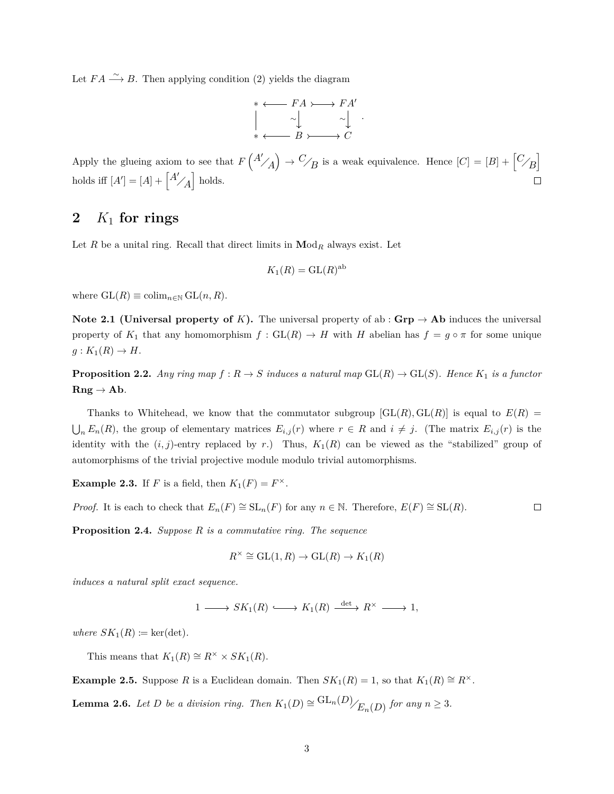Let  $FA \xrightarrow{\sim} B$ . Then applying condition (2) yields the diagram

$$
\begin{array}{cccc}\n* & \longleftarrow & FA & \longrightarrow FA' \\
& \sim & \sim & \sim & \\
* & \longleftarrow & B & \longrightarrow & C\n\end{array}.
$$

Apply the glueing axiom to see that  $F\binom{A'}{A} \rightarrow C'_{B}$  is a weak equivalence. Hence  $[C] = [B] + [C_{B}]$ holds iff  $[A'] = [A] + \begin{bmatrix} A' \\ A \end{bmatrix}$  holds.  $\Box$ 

# **2** *K*<sup>1</sup> **for rings**

Let *R* be a unital ring. Recall that direct limits in  $\text{Mod}_R$  always exist. Let

$$
K_1(R) = \mathrm{GL}(R)^{\mathrm{ab}}
$$

where  $GL(R) \equiv \operatorname{colim}_{n \in \mathbb{N}} GL(n, R)$ .

**Note 2.1 (Universal property of** *K***).** The universal property of ab :  $\mathbf{Grp} \rightarrow \mathbf{Ab}$  induces the universal property of  $K_1$  that any homomorphism  $f : GL(R) \to H$  with *H* abelian has  $f = g \circ \pi$  for some unique  $g: K_1(R) \to H$ .

**Proposition 2.2.** *Any ring map*  $f: R \to S$  *induces a natural map*  $GL(R) \to GL(S)$ *. Hence*  $K_1$  *is a functor*  $\mathbf{Rng} \to \mathbf{Ab}$ *.* 

Thanks to Whitehead, we know that the commutator subgroup  $[GL(R), GL(R)]$  is equal to  $E(R)$  $\bigcup_n E_n(R)$ , the group of elementary matrices  $E_{i,j}(r)$  where  $r \in R$  and  $i \neq j$ . (The matrix  $E_{i,j}(r)$  is the identity with the  $(i, j)$ -entry replaced by *r*.) Thus,  $K_1(R)$  can be viewed as the "stabilized" group of automorphisms of the trivial projective module modulo trivial automorphisms.

**Example 2.3.** If *F* is a field, then  $K_1(F) = F^{\times}$ .

*Proof.* It is each to check that  $E_n(F) \cong SL_n(F)$  for any  $n \in \mathbb{N}$ . Therefore,  $E(F) \cong SL(R)$ .  $\Box$ 

**Proposition 2.4.** *Suppose R is a commutative ring. The sequence*

$$
R^{\times} \cong \mathrm{GL}(1,R) \to \mathrm{GL}(R) \to K_1(R)
$$

*induces a natural split exact sequence.*

 $1 \longrightarrow SK_1(R) \longrightarrow K_1(R) \xrightarrow{\det} R^{\times} \longrightarrow 1,$ 

 $where \, SK_1(R) \coloneqq \ker(\det).$ 

This means that  $K_1(R) \cong R^\times \times SK_1(R)$ .

**Example 2.5.** Suppose *R* is a Euclidean domain. Then  $SK_1(R) = 1$ , so that  $K_1(R) \cong R^\times$ .

**Lemma 2.6.** *Let D be a division ring. Then*  $K_1(D) \cong \frac{GL_n(D)}{E_n(D)}$  *for any*  $n \geq 3$ *.*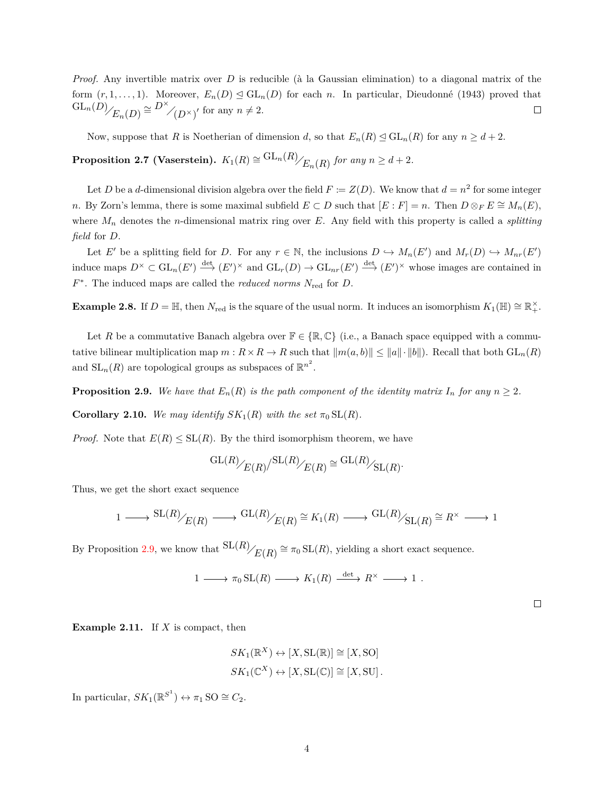*Proof.* Any invertible matrix over  $D$  is reducible ( $\hat{a}$  la Gaussian elimination) to a diagonal matrix of the form  $(r, 1, \ldots, 1)$ . Moreover,  $E_n(D) \leq \mathrm{GL}_n(D)$  for each *n*. In particular, Dieudonné (1943) proved that  $\mathrm{GL}_n(D)$ <sub> $E_n(D)$ </sub>  $\cong$   $D^\times$ <sub> $\bigoplus$ </sub>
<sub> $\bigoplus$ </sub>
<sub> $\bigoplus$ </sub>  $\bigoplus$ <sub>*n*</sub>
(*D*  $\times$ <sub>*j*</sub><sup> $\bigoplus$ </sup> for any  $n \neq 2$ .  $\Box$ 

Now, suppose that *R* is Noetherian of dimension *d*, so that  $E_n(R) \leq GL_n(R)$  for any  $n \geq d+2$ .

 $\textbf{Proposition 2.7 (Vaserstein)}. \ \ K_1(R) \cong \frac{\text{GL}_n(R)}{E_n(R)} \ \textit{for any} \ n \geq d+2.$ 

Let *D* be a *d*-dimensional division algebra over the field  $F := Z(D)$ . We know that  $d = n^2$  for some integer *n*. By Zorn's lemma, there is some maximal subfield  $E \subset D$  such that  $[E : F] = n$ . Then  $D \otimes_F E \cong M_n(E)$ , where *M<sup>n</sup>* denotes the *n*-dimensional matrix ring over *E*. Any field with this property is called a *splitting field* for *D*.

Let *E'* be a splitting field for *D*. For any  $r \in \mathbb{N}$ , the inclusions  $D \hookrightarrow M_n(E')$  and  $M_r(D) \hookrightarrow M_{nr}(E')$ induce maps  $D^{\times} \subset GL_n(E') \stackrel{\text{det}}{\longrightarrow} (E')^{\times}$  and  $GL_r(D) \to GL_{nr}(E') \stackrel{\text{det}}{\longrightarrow} (E')^{\times}$  whose images are contained in *F* ∗ . The induced maps are called the *reduced norms N*red for *D*.

**Example 2.8.** If  $D = \mathbb{H}$ , then  $N_{\text{red}}$  is the square of the usual norm. It induces an isomorphism  $K_1(\mathbb{H}) \cong \mathbb{R}_+^{\times}$ .

Let R be a commutative Banach algebra over  $\mathbb{F} \in \{ \mathbb{R}, \mathbb{C} \}$  (i.e., a Banach space equipped with a commutative bilinear multiplication map  $m: R \times R \to R$  such that  $||m(a, b)|| \le ||a|| \cdot ||b||$ . Recall that both  $GL_n(R)$ and  $SL_n(R)$  are topological groups as subspaces of  $\mathbb{R}^{n^2}$ .

<span id="page-3-0"></span>**Proposition 2.9.** *We have that*  $E_n(R)$  *is the path component of the identity matrix*  $I_n$  *for any*  $n \geq 2$ *.* 

**Corollary 2.10.** *We may identify*  $SK_1(R)$  *with the set*  $\pi_0 SL(R)$ *.* 

*Proof.* Note that  $E(R) \leq SL(R)$ . By the third isomorphism theorem, we have

$$
\mathrm{GL}(R)_{\bigg/ E(R)}/\mathrm{SL}(R)_{\bigg/ E(R) } \cong \mathrm{GL}(R)_{\bigg/ \mathrm{SL}(R)}.
$$

Thus, we get the short exact sequence

$$
1\longrightarrow\frac{\mathrm{SL}(R)_{\mathscr{L}(R)}\longrightarrow\mathrm{GL}(R)_{\mathscr{L}(R)}\cong K_{1}(R)\longrightarrow\frac{\mathrm{GL}(R)_{\mathscr{L}(R)}\cong R^{\times}\longrightarrow 1}{1}
$$

By Proposition [2.9,](#page-3-0) we know that  $SL(R)$ <sub> $E(R)$ </sub>  $\cong \pi_0 SL(R)$ , yielding a short exact sequence.

$$
1 \longrightarrow \pi_0 \operatorname{SL}(R) \longrightarrow K_1(R) \xrightarrow{\det} R^{\times} \longrightarrow 1 .
$$

 $\Box$ 

**Example 2.11.** If *X* is compact, then

$$
SK_1(\mathbb{R}^X) \leftrightarrow [X, SL(\mathbb{R})] \cong [X, SO]
$$
  

$$
SK_1(\mathbb{C}^X) \leftrightarrow [X, SL(\mathbb{C})] \cong [X, SU].
$$

In particular,  $SK_1(\mathbb{R}^{S^1}) \leftrightarrow \pi_1 \text{ SO} \cong C_2$ .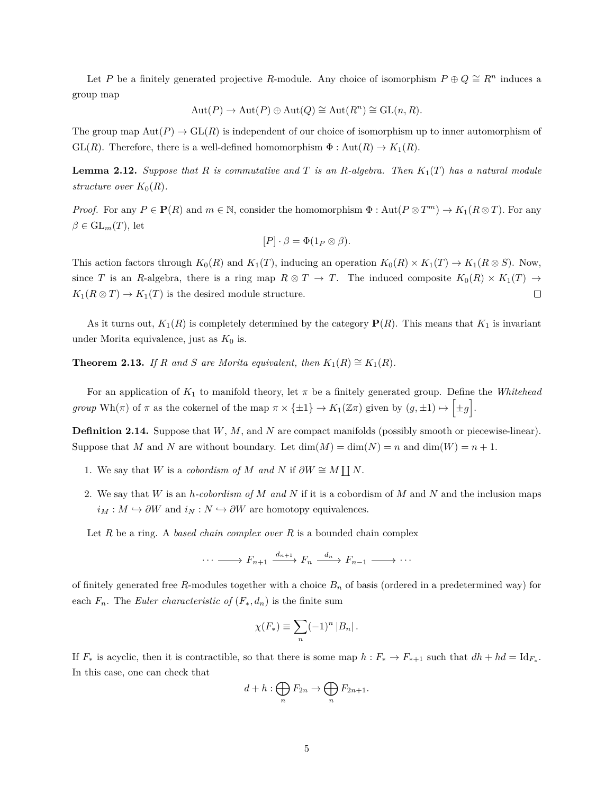Let *P* be a finitely generated projective *R*-module. Any choice of isomorphism  $P \oplus Q \cong R^n$  induces a group map

$$
Aut(P) \to Aut(P) \oplus Aut(Q) \cong Aut(R^n) \cong GL(n, R).
$$

The group map  $Aut(P) \to GL(R)$  is independent of our choice of isomorphism up to inner automorphism of GL(*R*). Therefore, there is a well-defined homomorphism  $\Phi : \text{Aut}(R) \to K_1(R)$ .

**Lemma 2.12.** *Suppose that R is commutative and T is an R-algebra. Then K*1(*T*) *has a natural module structure over*  $K_0(R)$ .

*Proof.* For any  $P \in \mathbf{P}(R)$  and  $m \in \mathbb{N}$ , consider the homomorphism  $\Phi : \text{Aut}(P \otimes T^m) \to K_1(R \otimes T)$ . For any  $\beta \in GL_m(T)$ , let

$$
[P] \cdot \beta = \Phi(1_P \otimes \beta).
$$

This action factors through  $K_0(R)$  and  $K_1(T)$ , inducing an operation  $K_0(R) \times K_1(T) \to K_1(R \otimes S)$ . Now, since *T* is an *R*-algebra, there is a ring map  $R \otimes T \to T$ . The induced composite  $K_0(R) \times K_1(T) \to$  $K_1(R \otimes T) \to K_1(T)$  is the desired module structure.  $\Box$ 

As it turns out,  $K_1(R)$  is completely determined by the category  $P(R)$ . This means that  $K_1$  is invariant under Morita equivalence, just as  $K_0$  is.

**Theorem 2.13.** *If R* and *S* are Morita equivalent, then  $K_1(R) \cong K_1(R)$ .

For an application of  $K_1$  to manifold theory, let  $\pi$  be a finitely generated group. Define the *Whitehead group* Wh(*π*) of *π* as the cokernel of the map  $\pi \times {\pm 1} \rightarrow K_1(\mathbb{Z}\pi)$  given by  $(g, \pm 1) \mapsto {\pm g}.$ 

**Definition 2.14.** Suppose that *W*, *M*, and *N* are compact manifolds (possibly smooth or piecewise-linear). Suppose that *M* and *N* are without boundary. Let  $dim(M) = dim(N) = n$  and  $dim(W) = n + 1$ .

- 1. We say that *W* is a *cobordism of M* and *N* if  $\partial W \cong M \coprod N$ .
- 2. We say that *W* is an *h-cobordism of M and N* if it is a cobordism of *M* and *N* and the inclusion maps  $i_M : M \hookrightarrow \partial W$  and  $i_N : N \hookrightarrow \partial W$  are homotopy equivalences.

Let *R* be a ring. A *based chain complex over R* is a bounded chain complex

$$
\cdots \longrightarrow F_{n+1} \xrightarrow{d_{n+1}} F_n \xrightarrow{d_n} F_{n-1} \longrightarrow \cdots
$$

of finitely generated free *R*-modules together with a choice  $B_n$  of basis (ordered in a predetermined way) for each  $F_n$ . The *Euler characteristic of*  $(F_*, d_n)$  is the finite sum

$$
\chi(F_*) \equiv \sum_n (-1)^n |B_n|.
$$

If  $F_*$  is acyclic, then it is contractible, so that there is some map  $h: F_* \to F_{*+1}$  such that  $dh + hd = \mathrm{Id}_{F_*}$ . In this case, one can check that

$$
d + h : \bigoplus_{n} F_{2n} \to \bigoplus_{n} F_{2n+1}.
$$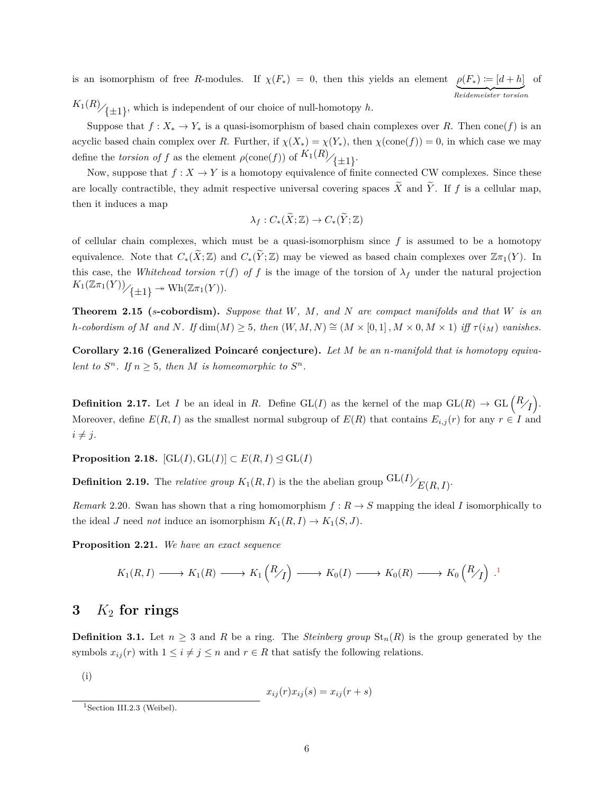is an isomorphism of free *R*-modules. If  $\chi(F_*) = 0$ , then this yields an element  $\rho(F_*) \coloneqq [d+h]$ | {z } *Reidemeister torsion* of  $K_1(R)$ <sub>/{ $\pm 1$ }</sub>, which is independent of our choice of null-homotopy *h*.

Suppose that  $f: X_* \to Y_*$  is a quasi-isomorphism of based chain complexes over R. Then cone(f) is an acyclic based chain complex over *R*. Further, if  $\chi(X_*) = \chi(Y_*)$ , then  $\chi(\text{cone}(f)) = 0$ , in which case we may define the *torsion of f* as the element  $\rho(\text{cone}(f))$  of  $K_1(R)/_{\{\pm 1\}}$ .

Now, suppose that  $f: X \to Y$  is a homotopy equivalence of finite connected CW complexes. Since these are locally contractible, they admit respective universal covering spaces  $\tilde{X}$  and  $\tilde{Y}$ . If f is a cellular map, then it induces a map

$$
\lambda_f: C_*(\widetilde{X}; \mathbb{Z}) \to C_*(\widetilde{Y}; \mathbb{Z})
$$

of cellular chain complexes, which must be a quasi-isomorphism since *f* is assumed to be a homotopy equivalence. Note that  $C_*(\widetilde{X}; \mathbb{Z})$  and  $C_*(\widetilde{Y}; \mathbb{Z})$  may be viewed as based chain complexes over  $\mathbb{Z}(\pi_1(Y))$ . In this case, the *Whitehead torsion*  $\tau(f)$  *of f* is the image of the torsion of  $\lambda_f$  under the natural projection  $K_1(\mathbb{Z}\pi_1(Y))/_{\{-1\}} \twoheadrightarrow \text{Wh}(\mathbb{Z}\pi_1(Y)).$ 

**Theorem 2.15 (***s***-cobordism).** *Suppose that W, M, and N are compact manifolds and that W is an* h-cobordism of M and N. If  $\dim(M) \geq 5$ , then  $(W, M, N) \cong (M \times [0, 1], M \times 0, M \times 1)$  iff  $\tau(i_M)$  vanishes.

**Corollary 2.16 (Generalized Poincaré conjecture).** Let M be an *n*-manifold that is homotopy equiva*lent to*  $S^n$ *. If*  $n \geq 5$ *, then M is homeomorphic to*  $S^n$ *.* 

**Definition 2.17.** Let *I* be an ideal in *R*. Define  $GL(I)$  as the kernel of the map  $GL(R) \to GL(\frac{R}{I}).$ Moreover, define  $E(R, I)$  as the smallest normal subgroup of  $E(R)$  that contains  $E_{i,j}(r)$  for any  $r \in I$  and  $i \neq j$ .

**Proposition 2.18.**  $[\text{GL}(I), \text{GL}(I)] \subset E(R, I) \leq \text{GL}(I)$ 

**Definition 2.19.** The *relative group*  $K_1(R, I)$  is the the abelian group  $\frac{GL(I)}{E(R, I)}$ .

*Remark* 2.20. Swan has shown that a ring homomorphism  $f: R \to S$  mapping the ideal *I* isomorphically to the ideal *J* need *not* induce an isomorphism  $K_1(R, I) \to K_1(S, J)$ .

**Proposition 2.21.** *We have an exact sequence*

$$
K_1(R,I) \longrightarrow K_1(R) \longrightarrow K_1\left(\frac{R}{I}\right) \longrightarrow K_0(I) \longrightarrow K_0(R) \longrightarrow K_0\left(\frac{R}{I}\right).^{1}
$$

## **3** *K*<sup>2</sup> **for rings**

**Definition 3.1.** Let  $n \geq 3$  and *R* be a ring. The *Steinberg group*  $\text{St}_n(R)$  is the group generated by the symbols  $x_{ij}(r)$  with  $1 \leq i \neq j \leq n$  and  $r \in R$  that satisfy the following relations.

(i)

$$
x_{ij}(r)x_{ij}(s) = x_{ij}(r+s)
$$

<span id="page-5-0"></span><sup>&</sup>lt;sup>1</sup>Section III.2.3 (Weibel).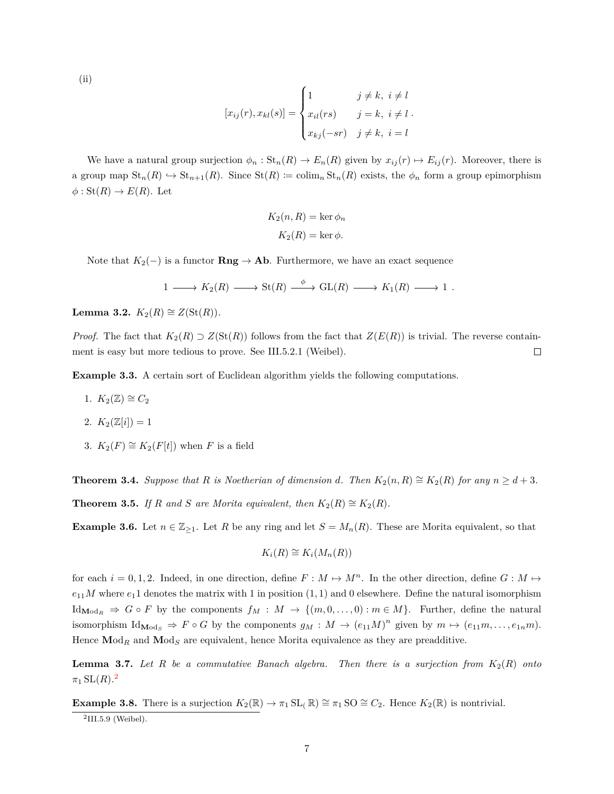$(ii)$ 

$$
[x_{ij}(r), x_{kl}(s)] = \begin{cases} 1 & j \neq k, i \neq l \\ x_{il}(rs) & j = k, i \neq l \\ x_{kj}(-sr) & j \neq k, i = l \end{cases}.
$$

We have a natural group surjection  $\phi_n : \text{St}_n(R) \to E_n(R)$  given by  $x_{ij}(r) \mapsto E_{ij}(r)$ . Moreover, there is a group map  $\text{St}_n(R) \hookrightarrow \text{St}_{n+1}(R)$ . Since  $\text{St}(R) := \text{colim}_n \text{St}_n(R)$  exists, the  $\phi_n$  form a group epimorphism  $\phi: \text{St}(R) \to E(R)$ . Let

$$
K_2(n, R) = \ker \phi_n
$$

$$
K_2(R) = \ker \phi.
$$

Note that  $K_2(-)$  is a functor **Rng**  $\rightarrow$  **Ab**. Furthermore, we have an exact sequence

$$
1 \longrightarrow K_2(R) \longrightarrow St(R) \stackrel{\phi}{\longrightarrow} GL(R) \longrightarrow K_1(R) \longrightarrow 1 .
$$

**Lemma 3.2.**  $K_2(R) \cong Z(\text{St}(R))$ .

*Proof.* The fact that  $K_2(R) \supset Z(\text{St}(R))$  follows from the fact that  $Z(E(R))$  is trivial. The reverse containment is easy but more tedious to prove. See III.5.2.1 (Weibel).  $\Box$ 

**Example 3.3.** A certain sort of Euclidean algorithm yields the following computations.

- 1.  $K_2(\mathbb{Z}) \cong C_2$
- 2.  $K_2(\mathbb{Z}[i]) = 1$
- 3.  $K_2(F) \cong K_2(F[t])$  when *F* is a field

**Theorem 3.4.** Suppose that R is Noetherian of dimension *d.* Then  $K_2(n, R) \cong K_2(R)$  for any  $n \geq d+3$ .

**Theorem 3.5.** *If R* and *S* are Morita equivalent, then  $K_2(R) \cong K_2(R)$ .

**Example 3.6.** Let  $n \in \mathbb{Z}_{\geq 1}$ . Let *R* be any ring and let  $S = M_n(R)$ . These are Morita equivalent, so that

$$
K_i(R) \cong K_i(M_n(R))
$$

for each  $i = 0, 1, 2$ . Indeed, in one direction, define  $F : M \mapsto M^n$ . In the other direction, define  $G : M \mapsto$  $e_{11}$ *M* where  $e_1$ 1 denotes the matrix with 1 in position  $(1, 1)$  and 0 elsewhere. Define the natural isomorphism Id<sub>Mod<sub>*R*</sub> ⇒ *G* ◦ *F* by the components  $f_M$  :  $M$  → { $(m, 0, ..., 0)$  :  $m \in M$ }. Further, define the natural</sub> isomorphism  $\text{Id}_{\text{Mod}_S} \Rightarrow F \circ G$  by the components  $g_M : M \to (e_{11}M)^n$  given by  $m \mapsto (e_{11}m, \ldots, e_{1n}m)$ . Hence  $\text{Mod}_R$  and  $\text{Mod}_S$  are equivalent, hence Morita equivalence as they are preadditive.

**Lemma 3.7.** Let R be a commutative Banach algebra. Then there is a surjection from  $K_2(R)$  onto  $\pi_1\mathop{\rm SL}(R).^{\mathbf 2}$  $\pi_1\mathop{\rm SL}(R).^{\mathbf 2}$  $\pi_1\mathop{\rm SL}(R).^{\mathbf 2}$ 

**Example 3.8.** There is a surjection  $K_2(\mathbb{R}) \to \pi_1 \text{SL}_{p}(\mathbb{R}) \cong \pi_1 \text{SO} \cong C_2$ . Hence  $K_2(\mathbb{R})$  is nontrivial.

<span id="page-6-0"></span> $2$ III.5.9 (Weibel).